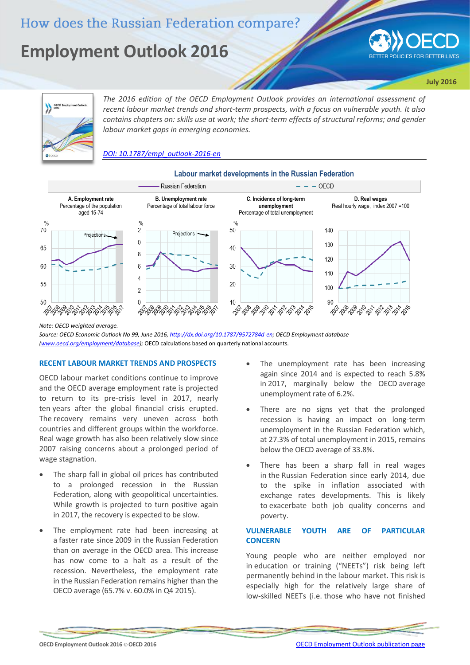# How does the Russian Federation compare?

# **Employment Outlook 2016**



**July 2016**



*The 2016 edition of the OECD Employment Outlook provides an international assessment of recent labour market trends and short-term prospects, with a focus on vulnerable youth. It also contains chapters on: skills use at work; the short-term effects of structural reforms; and gender labour market gaps in emerging economies.*

*[DOI: 10.1787/empl\\_outlook-2016-en](http://dx.doi.org/10.1787/empl_outlook-2016-en)*



# **Labour market developments in the Russian Federation**

*Note: OECD weighted average.*

*Source: OECD Economic Outlook No 99, June 2016[, http://dx.doi.org/10.1787/9572784d-en;](http://dx.doi.org/10.1787/9572784d-en) OECD Employment database [\(www.oecd.org/employment/database\)](http://www.oecd.org/employment/database);* OECD calculations based on quarterly national accounts.

#### **RECENT LABOUR MARKET TRENDS AND PROSPECTS**

OECD labour market conditions continue to improve and the OECD average employment rate is projected to return to its pre-crisis level in 2017, nearly ten years after the global financial crisis erupted. The recovery remains very uneven across both countries and different groups within the workforce. Real wage growth has also been relatively slow since 2007 raising concerns about a prolonged period of wage stagnation.

- The sharp fall in global oil prices has contributed to a prolonged recession in the Russian Federation, along with geopolitical uncertainties. While growth is projected to turn positive again in 2017, the recovery is expected to be slow.
- The employment rate had been increasing at a faster rate since 2009 in the Russian Federation than on average in the OECD area. This increase has now come to a halt as a result of the recession. Nevertheless, the employment rate in the Russian Federation remains higher than the OECD average (65.7% v. 60.0% in Q4 2015).
- The unemployment rate has been increasing again since 2014 and is expected to reach 5.8% in 2017, marginally below the OECD average unemployment rate of 6.2%.
- There are no signs yet that the prolonged recession is having an impact on long-term unemployment in the Russian Federation which, at 27.3% of total unemployment in 2015, remains below the OECD average of 33.8%.
- There has been a sharp fall in real wages in the Russian Federation since early 2014, due to the spike in inflation associated with exchange rates developments. This is likely to exacerbate both job quality concerns and poverty.

# **VULNERABLE YOUTH ARE OF PARTICULAR CONCERN**

Young people who are neither employed nor in education or training ("NEETs") risk being left permanently behind in the labour market. This risk is especially high for the relatively large share of low-skilled NEETs (i.e. those who have not finished